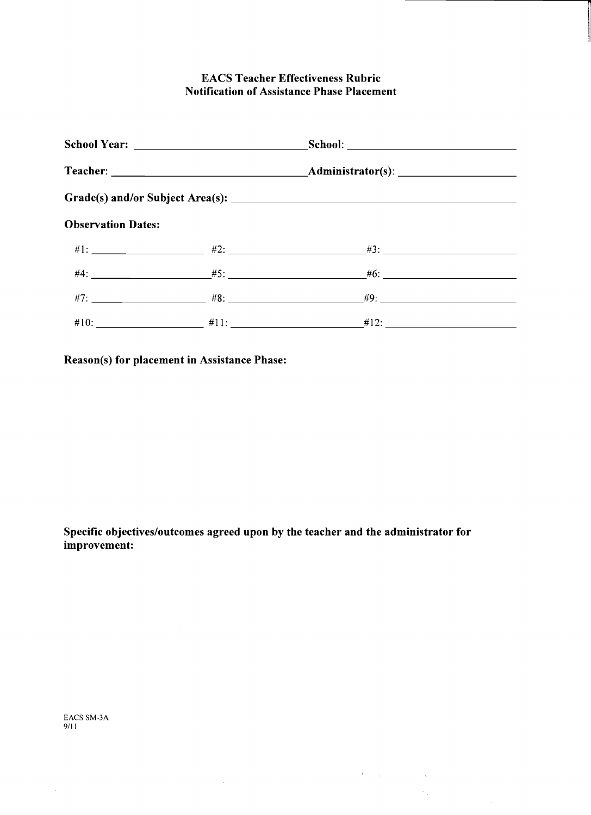## **EACS Teacher Effectiveness Rubric Notification of Assistance Phase Placement**

| School Year: _______________________________ |  |                                                                                    |  |
|----------------------------------------------|--|------------------------------------------------------------------------------------|--|
|                                              |  |                                                                                    |  |
|                                              |  |                                                                                    |  |
| <b>Observation Dates:</b>                    |  |                                                                                    |  |
|                                              |  |                                                                                    |  |
|                                              |  |                                                                                    |  |
|                                              |  | $\#7:$ 47: 47: $\frac{4}{5}$ 48: $\frac{4}{5}$ 48: $\frac{4}{5}$ 49: $\frac{4}{5}$ |  |
|                                              |  | $\#10:$ $\qquad \qquad \#11:$ $\qquad \qquad \#12:$ $\qquad \qquad \#12:$          |  |

**Reason(s) for placement in Assistance Phase:** 

**Specific objectives/outcomes agreed upon by the teacher and the administrator for improvement:** 

 $\sim$ 

 $\label{eq:2.1} \frac{1}{\sqrt{2}}\int_{\mathbb{R}^3} \left|\frac{d\mu}{d\mu}\right|^2 \, d\mu = \frac{1}{2}\int_{\mathbb{R}^3} \left|\frac{d\mu}{d\mu}\right|^2 \, d\mu = \frac{1}{2}\int_{\mathbb{R}^3} \left|\frac{d\mu}{d\mu}\right|^2 \, d\mu.$ 

 $\frac{1}{2} \frac{1}{2}$ 

 $\sim 10^{-1}$ 

EACS SM-3A 9/11